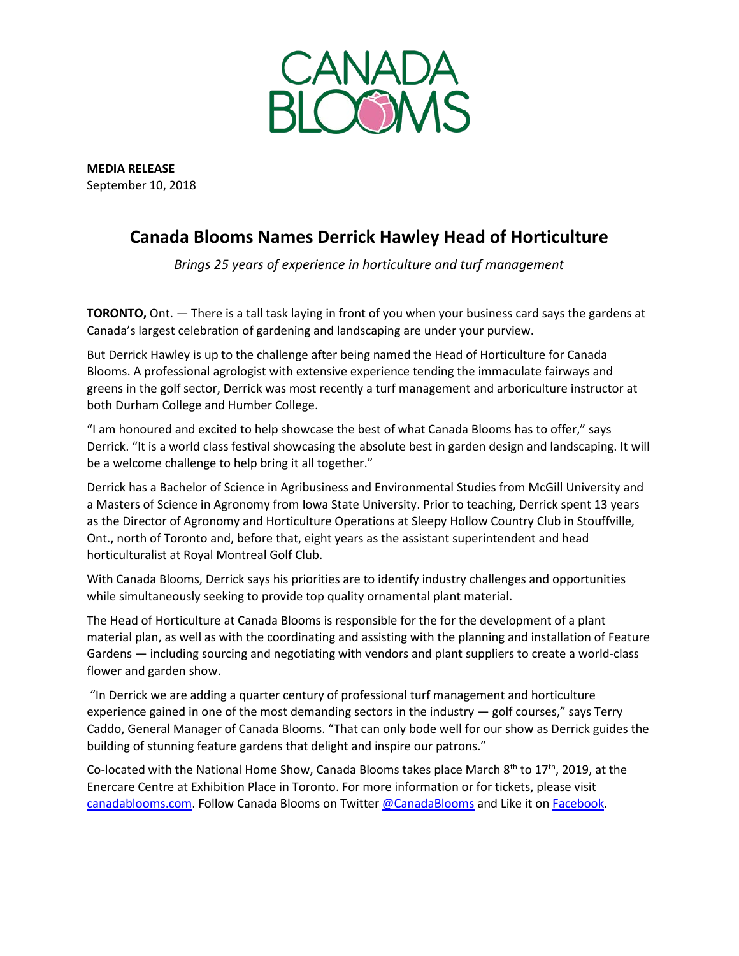

**MEDIA RELEASE** September 10, 2018

## **Canada Blooms Names Derrick Hawley Head of Horticulture**

*Brings 25 years of experience in horticulture and turf management*

**TORONTO,** Ont. — There is a tall task laying in front of you when your business card says the gardens at Canada's largest celebration of gardening and landscaping are under your purview.

But Derrick Hawley is up to the challenge after being named the Head of Horticulture for Canada Blooms. A professional agrologist with extensive experience tending the immaculate fairways and greens in the golf sector, Derrick was most recently a turf management and arboriculture instructor at both Durham College and Humber College.

"I am honoured and excited to help showcase the best of what Canada Blooms has to offer," says Derrick. "It is a world class festival showcasing the absolute best in garden design and landscaping. It will be a welcome challenge to help bring it all together."

Derrick has a Bachelor of Science in Agribusiness and Environmental Studies from McGill University and a Masters of Science in Agronomy from Iowa State University. Prior to teaching, Derrick spent 13 years as the Director of Agronomy and Horticulture Operations at Sleepy Hollow Country Club in Stouffville, Ont., north of Toronto and, before that, eight years as the assistant superintendent and head horticulturalist at Royal Montreal Golf Club.

With Canada Blooms, Derrick says his priorities are to identify industry challenges and opportunities while simultaneously seeking to provide top quality ornamental plant material.

The Head of Horticulture at Canada Blooms is responsible for the for the development of a plant material plan, as well as with the coordinating and assisting with the planning and installation of Feature Gardens — including sourcing and negotiating with vendors and plant suppliers to create a world-class flower and garden show.

"In Derrick we are adding a quarter century of professional turf management and horticulture experience gained in one of the most demanding sectors in the industry — golf courses," says Terry Caddo, General Manager of Canada Blooms. "That can only bode well for our show as Derrick guides the building of stunning feature gardens that delight and inspire our patrons."

Co-located with the National Home Show, Canada Blooms takes place March 8<sup>th</sup> to 17<sup>th</sup>, 2019, at the Enercare Centre at Exhibition Place in Toronto. For more information or for tickets, please visit [canadablooms.com.](http://www.canadablooms.com/) Follow Canada Blooms on Twitte[r @CanadaBlooms](http://www.twitter.com/canadablooms) and Like it o[n Facebook.](http://www.facebook.com/canadablooms)